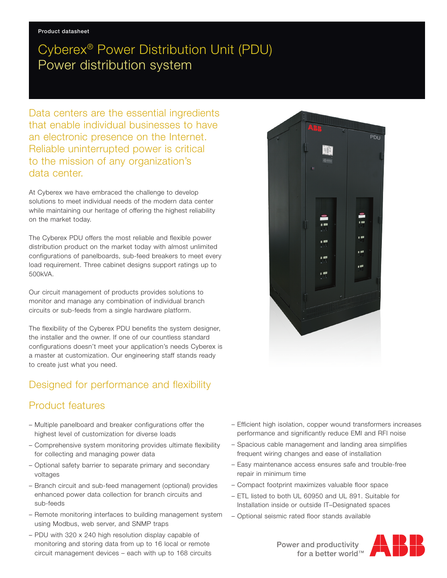## Cyberex® Power Distribution Unit (PDU) Power distribution system

Data centers are the essential ingredients that enable individual businesses to have an electronic presence on the Internet. Reliable uninterrupted power is critical to the mission of any organization's data center.

At Cyberex we have embraced the challenge to develop solutions to meet individual needs of the modern data center while maintaining our heritage of offering the highest reliability on the market today.

The Cyberex PDU offers the most reliable and flexible power distribution product on the market today with almost unlimited configurations of panelboards, sub-feed breakers to meet every load requirement. Three cabinet designs support ratings up to 500kVA.

Our circuit management of products provides solutions to monitor and manage any combination of individual branch circuits or sub-feeds from a single hardware platform.

The flexibility of the Cyberex PDU benefits the system designer, the installer and the owner. If one of our countless standard configurations doesn't meet your application's needs Cyberex is a master at customization. Our engineering staff stands ready to create just what you need.

## Designed for performance and flexibility

## Product features

- Multiple panelboard and breaker configurations offer the highest level of customization for diverse loads
- Comprehensive system monitoring provides ultimate flexibility for collecting and managing power data
- Optional safety barrier to separate primary and secondary voltages
- Branch circuit and sub-feed management (optional) provides enhanced power data collection for branch circuits and sub-feeds
- Remote monitoring interfaces to building management system using Modbus, web server, and SNMP traps
- PDU with 320 x 240 high resolution display capable of monitoring and storing data from up to 16 local or remote circuit management devices – each with up to 168 circuits



- Efficient high isolation, copper wound transformers increases performance and significantly reduce EMI and RFI noise
- Spacious cable management and landing area simplifies frequent wiring changes and ease of installation
- Easy maintenance access ensures safe and trouble-free repair in minimum time
- Compact footprint maximizes valuable floor space
- ETL listed to both UL 60950 and UL 891. Suitable for Installation inside or outside IT–Designated spaces
- Optional seismic rated floor stands available



Power and productivity<br>for a better world™